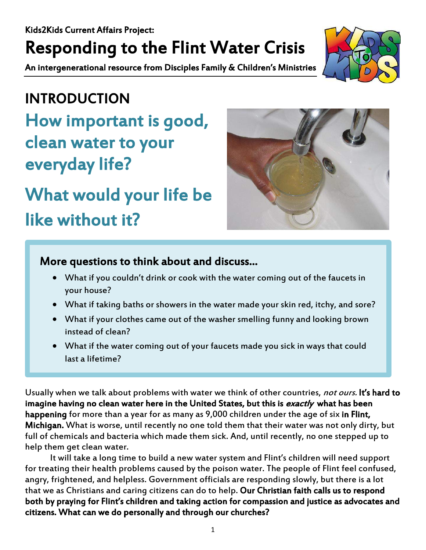### Kids2Kids Current Affairs Project: Responding to the Flint Water Crisis

An intergenerational resource from Disciples Family & Children's Ministries

### INTRODUCTION

## How important is good, clean water to your everyday life?

## What would your life be like without it?



#### More questions to think about and discuss…

- What if you couldn't drink or cook with the water coming out of the faucets in your house?
- What if taking baths or showers in the water made your skin red, itchy, and sore?
- What if your clothes came out of the washer smelling funny and looking brown instead of clean?
- What if the water coming out of your faucets made you sick in ways that could last a lifetime?

Usually when we talk about problems with water we think of other countries, *not ours.* It's hard to imagine having no clean water here in the United States, but this is *exactly* what has been happening for more than a year for as many as 9,000 children under the age of six in Flint, Michigan. What is worse, until recently no one told them that their water was not only dirty, but full of chemicals and bacteria which made them sick. And, until recently, no one stepped up to help them get clean water.

It will take a long time to build a new water system and Flint's children will need support for treating their health problems caused by the poison water. The people of Flint feel confused, angry, frightened, and helpless. Government officials are responding slowly, but there is a lot that we as Christians and caring citizens can do to help. Our Christian faith calls us to respond both by praying for Flint's children and taking action for compassion and justice as advocates and citizens. What can we do personally and through our churches?

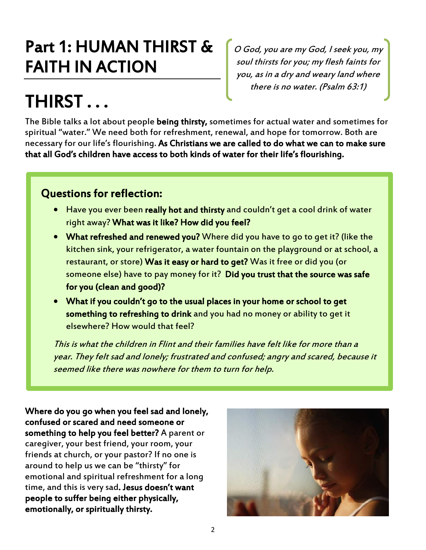### Part 1: HUMAN THIRST & FAITH IN ACTION

O God, you are my God, I seek you, my soul thirsts for you; my flesh faints for you, as in a dry and weary land where there is no water. (Psalm 63:1)

# THIRST...

The Bible talks a lot about people being thirsty, sometimes for actual water and sometimes for spiritual "water." We need both for refreshment, renewal, and hope for tomorrow. Both are necessary for our life's flourishing. As Christians we are called to do what we can to make sure that all God's children have access to both kinds of water for their life's flourishing.

### Questions for reflection:

- Have you ever been really hot and thirsty and couldn't get a cool drink of water right away? What was it like? How did you feel?
- What refreshed and renewed you? Where did you have to go to get it? (like the kitchen sink, your refrigerator, a water fountain on the playground or at school, a restaurant, or store) Was it easy or hard to get? Was it free or did you (or someone else) have to pay money for it? Did you trust that the source was safe for you (clean and good)?
- What if you couldn't go to the usual places in your home or school to get something to refreshing to drink and you had no money or ability to get it elsewhere? How would that feel?

This is what the children in Flint and their families have felt like for more than a year. They felt sad and lonely; frustrated and confused; angry and scared, because it seemed like there was nowhere for them to turn for help.

Where do you go when you feel sad and lonely, confused or scared and need someone or something to help you feel better? A parent or caregiver, your best friend, your room, your friends at church, or your pastor? If no one is around to help us we can be "thirsty" for emotional and spiritual refreshment for a long time, and this is very sad. Jesus doesn't want people to suffer being either physically, emotionally, or spiritually thirsty.

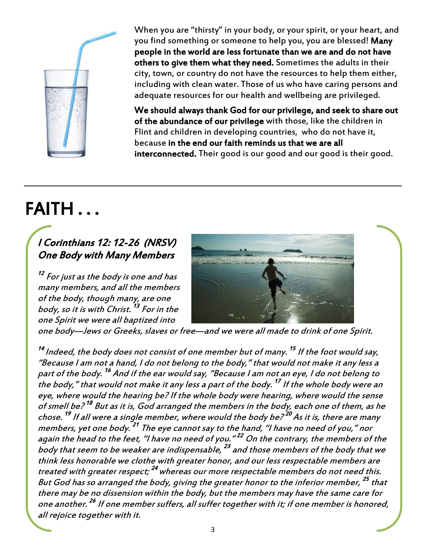

When you are "thirsty" in your body, or your spirit, or your heart, and you find something or someone to help you, you are blessed! Many people in the world are less fortunate than we are and do not have others to give them what they need. Sometimes the adults in their city, town, or country do not have the resources to help them either, including with clean water. Those of us who have caring persons and adequate resources for our health and wellbeing are privileged.

We should always thank God for our privilege, and seek to share out of the abundance of our privilege with those, like the children in Flint and children in developing countries, who do not have it, because in the end our faith reminds us that we are all interconnected. Their good is our good and our good is their good.

## FAITH . . .

#### I Corinthians 12: 12-26 (NRSV) One Body with Many Members

<sup>12</sup> For just as the body is one and has many members, and all the members of the body, though many, are one body, so it is with Christ. <sup>13</sup> For in the one Spirit we were all baptized into



one body—Jews or Greeks, slaves or free—and we were all made to drink of one Spirit.

<sup>14</sup> Indeed, the body does not consist of one member but of many. <sup>15</sup> If the foot would say, "Because I am not a hand, I do not belong to the body," that would not make it any less a part of the body. <sup>16</sup> And if the ear would say, "Because I am not an eye, I do not belong to the body," that would not make it any less a part of the body. <sup>17</sup> If the whole body were an eye, where would the hearing be? If the whole body were hearing, where would the sense of smell be? <sup>18</sup> But as it is, God arranged the members in the body, each one of them, as he chose. <sup>19</sup> If all were a single member, where would the body be?<sup>20</sup> As it is, there are many members, yet one body. <sup>21</sup> The eye cannot say to the hand, "I have no need of you," nor again the head to the feet, "I have no need of you." <sup>22</sup> On the contrary, the members of the body that seem to be weaker are indispensable, <sup>23</sup> and those members of the body that we think less honorable we clothe with greater honor, and our less respectable members are treated with greater respect;<sup>24</sup> whereas our more respectable members do not need this. But God has so arranged the body, giving the greater honor to the inferior member, <sup>25</sup> that there may be no dissension within the body, but the members may have the same care for one another. <sup>26</sup> If one member suffers, all suffer together with it; if one member is honored, all rejoice together with it.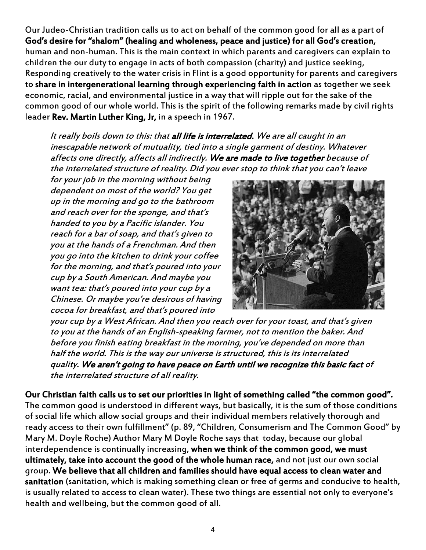Our Judeo-Christian tradition calls us to act on behalf of the common good for all as a part of God's desire for "shalom" (healing and wholeness, peace and justice) for all God's creation, human and non-human. This is the main context in which parents and caregivers can explain to children the our duty to engage in acts of both compassion (charity) and justice seeking, Responding creatively to the water crisis in Flint is a good opportunity for parents and caregivers to share in intergenerational learning through experiencing faith in action as together we seek economic, racial, and environmental justice in a way that will ripple out for the sake of the common good of our whole world. This is the spirit of the following remarks made by civil rights leader Rev. Martin Luther King, Jr, in a speech in 1967.

It really boils down to this: that all life is interrelated. We are all caught in an inescapable network of mutuality, tied into a single garment of destiny. Whatever affects one directly, affects all indirectly. We are made to live together because of the interrelated structure of reality. Did you ever stop to think that you can't leave

for your job in the morning without being dependent on most of the world? You get up in the morning and go to the bathroom and reach over for the sponge, and that's handed to you by a Pacific islander. You reach for a bar of soap, and that's given to you at the hands of a Frenchman. And then you go into the kitchen to drink your coffee for the morning, and that's poured into your cup by a South American. And maybe you want tea: that's poured into your cup by a Chinese. Or maybe you're desirous of having cocoa for breakfast, and that's poured into



your cup by a West African. And then you reach over for your toast, and that's given to you at the hands of an English-speaking farmer, not to mention the baker. And before you finish eating breakfast in the morning, you've depended on more than half the world. This is the way our universe is structured, this is its interrelated quality. We aren't going to have peace on Earth until we recognize this basic fact of the interrelated structure of all reality.

Our Christian faith calls us to set our priorities in light of something called "the common good". The common good is understood in different ways, but basically, it is the sum of those conditions of social life which allow social groups and their individual members relatively thorough and ready access to their own fulfillment" (p. 89, "Children, Consumerism and The Common Good" by Mary M. Doyle Roche) Author Mary M Doyle Roche says that today, because our global interdependence is continually increasing, when we think of the common good, we must ultimately, take into account the good of the whole human race, and not just our own social group. We believe that all children and families should have equal access to clean water and sanitation (sanitation, which is making something clean or free of germs and conducive to health, is usually related to access to clean water). These two things are essential not only to everyone's health and wellbeing, but the common good of all.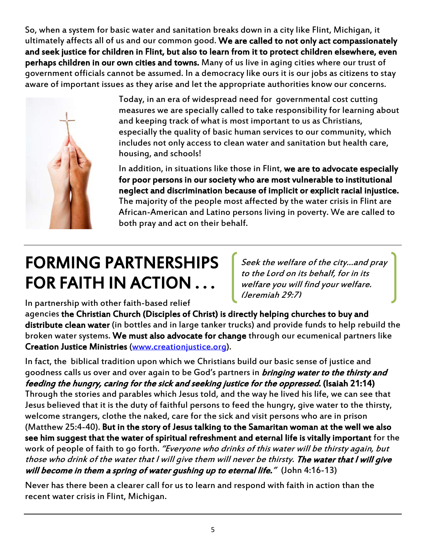So, when a system for basic water and sanitation breaks down in a city like Flint, Michigan, it ultimately affects all of us and our common good. We are called to not only act compassionately and seek justice for children in Flint, but also to learn from it to protect children elsewhere, even perhaps children in our own cities and towns. Many of us live in aging cities where our trust of government officials cannot be assumed. In a democracy like ours it is our jobs as citizens to stay aware of important issues as they arise and let the appropriate authorities know our concerns.



Today, in an era of widespread need for governmental cost cutting measures we are specially called to take responsibility for learning about and keeping track of what is most important to us as Christians, especially the quality of basic human services to our community, which includes not only access to clean water and sanitation but health care, housing, and schools!

In addition, in situations like those in Flint, we are to advocate especially for poor persons in our society who are most vulnerable to institutional neglect and discrimination because of implicit or explicit racial injustice. The majority of the people most affected by the water crisis in Flint are African-American and Latino persons living in poverty. We are called to both pray and act on their behalf.

## FORMING PARTNERSHIPS FOR FAITH IN ACTION . . .

Seek the welfare of the city…and pray to the Lord on its behalf, for in its welfare you will find your welfare. (Jeremiah 29:7)

In partnership with other faith-based relief agencies the Christian Church (Disciples of Christ) is directly helping churches to buy and distribute clean water (in bottles and in large tanker trucks) and provide funds to help rebuild the broken water systems. We must also advocate for change through our ecumenical partners like Creation Justice Ministries [\(www.creationjustice.org\)](http://www.creationjustice.org/).

In fact, the biblical tradition upon which we Christians build our basic sense of justice and goodness calls us over and over again to be God's partners in *bringing water to the thirsty and* feeding the hungry, caring for the sick and seeking justice for the oppressed. (Isaiah 21:14) Through the stories and parables which Jesus told, and the way he lived his life, we can see that Jesus believed that it is the duty of faithful persons to feed the hungry, give water to the thirsty, welcome strangers, clothe the naked, care for the sick and visit persons who are in prison (Matthew 25:4-40). But in the story of Jesus talking to the Samaritan woman at the well we also see him suggest that the water of spiritual refreshment and eternal life is vitally important for the work of people of faith to go forth. "Everyone who drinks of this water will be thirsty again, but those who drink of the water that I will give them will never be thirsty. The water that I will give will become in them a spring of water gushing up to eternal life." (John 4:16-13)

Never has there been a clearer call for us to learn and respond with faith in action than the recent water crisis in Flint, Michigan.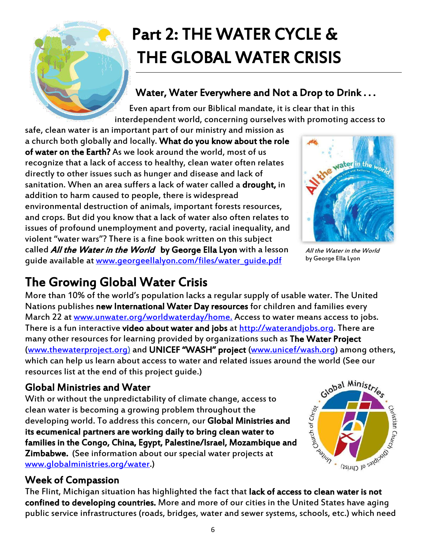## Part 2: THE WATER CYCLE & THE GLOBAL WATER CRISIS

#### Water, Water Everywhere and Not a Drop to Drink . . .

Even apart from our Biblical mandate, it is clear that in this interdependent world, concerning ourselves with promoting access to

safe, clean water is an important part of our ministry and mission as a church both globally and locally. What do you know about the role of water on the Earth? As we look around the world, most of us recognize that a lack of access to healthy, clean water often relates directly to other issues such as hunger and disease and lack of sanitation. When an area suffers a lack of water called a **drought**, in addition to harm caused to people, there is widespread environmental destruction of animals, important forests resources, and crops. But did you know that a lack of water also often relates to issues of profound unemployment and poverty, racial inequality, and violent "water wars"? There is a fine book written on this subject called *All the Water in the World* by George Ella Lyon with a lesson guide available at [www.georgeellalyon.com/files/water\\_guide.pdf](http://www.georgeellalyon.com/files/water_guide.pdf)



All the Water in the World by George Ella Lyon

### The Growing Global Water Crisis

More than 10% of the world's population lacks a regular supply of usable water. The United Nations publishes new International Water Day resources for children and families every March 22 at [www.unwater.org/worldwaterday/home.](http://www.unwater.org/worldwaterday/home) Access to water means access to jobs. There is a fun interactive video about water and jobs at [http://waterandjobs.org.](http://waterandjobs.org/) There are many other resources for learning provided by organizations such as The Water Project [\(www.thewaterproject.org\)](http://www.thewaterproject.org/) and UNICEF "WASH" project [\(www.unicef/wash.org\)](http://www.unicef/wash.org) among others, which can help us learn about access to water and related issues around the world (See our resources list at the end of this project guide.)

#### Global Ministries and Water

With or without the unpredictability of climate change, access to clean water is becoming a growing problem throughout the developing world. To address this concern, our Global Ministries and its ecumenical partners are working daily to bring clean water to families in the Congo, China, Egypt, Palestine/Israel, Mozambique and Zimbabwe. (See information about our special water projects at [www.globalministries.org/water.](http://www.globalministries.org/water)) The Flint, Michigan situation has highlighted the fact that lack of access to clean water is not<br>The Flint, Michigan situation has highlighted the fact that lack of access to clean water is not

#### Week of Compassion

confined to developing countries. More and more of our cities in the United States have aging public service infrastructures (roads, bridges, water and sewer systems, schools, etc.) which need

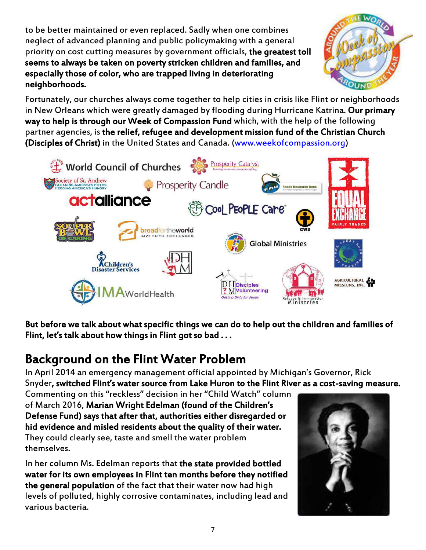to be better maintained or even replaced. Sadly when one combines neglect of advanced planning and public policymaking with a general priority on cost cutting measures by government officials, the greatest toll seems to always be taken on poverty stricken children and families, and especially those of color, who are trapped living in deteriorating neighborhoods.



Fortunately, our churches always come together to help cities in crisis like Flint or neighborhoods in New Orleans which were greatly damaged by flooding during Hurricane Katrina. Our primary way to help is through our Week of Compassion Fund which, with the help of the following partner agencies, is the relief, refugee and development mission fund of the Christian Church (Disciples of Christ) in the United States and Canada. [\(www.weekofcompassion.org\)](http://www.weekofcompassion.org/)



But before we talk about what specific things we can do to help out the children and families of Flint, let's talk about how things in Flint got so bad . . .

### Background on the Flint Water Problem

In April 2014 an emergency management official appointed by Michigan's Governor, Rick Snyder, switched Flint's water source from Lake Huron to the Flint River as a cost-saving measure.

Commenting on this "reckless" decision in her "Child Watch" column of March 2016, Marian Wright Edelman (found of the Children's Defense Fund) says that after that, authorities either disregarded or hid evidence and misled residents about the quality of their water. They could clearly see, taste and smell the water problem themselves.

In her column Ms. Edelman reports that the state provided bottled water for its own employees in Flint ten months before they notified the general population of the fact that their water now had high levels of polluted, highly corrosive contaminates, including lead and various bacteria.

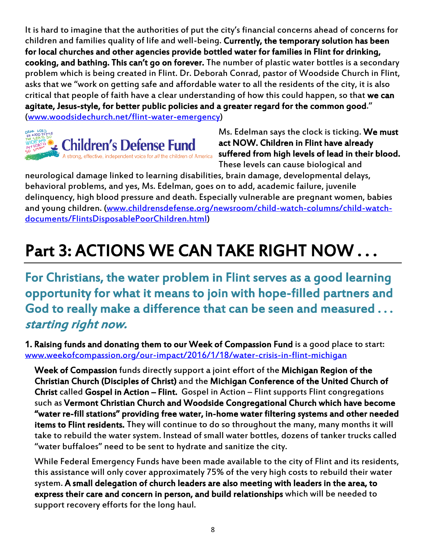It is hard to imagine that the authorities of put the city's financial concerns ahead of concerns for children and families quality of life and well-being. Currently, the temporary solution has been for local churches and other agencies provide bottled water for families in Flint for drinking, cooking, and bathing. This can't go on forever. The number of plastic water bottles is a secondary problem which is being created in Flint. Dr. Deborah Conrad, pastor of Woodside Church in Flint, asks that we "work on getting safe and affordable water to all the residents of the city, it is also critical that people of faith have a clear understanding of how this could happen, so that we can agitate, Jesus-style, for better public policies and a greater regard for the common good." [\(www.woodsidechurch.net/flint-water-emergency\)](http://www.woodsidechurch.net/flint-water-emergency)



Ms. Edelman says the clock is ticking. We must act NOW. Children in Flint have already suffered from high levels of lead in their blood. These levels can cause biological and

neurological damage linked to learning disabilities, brain damage, developmental delays, behavioral problems, and yes, Ms. Edelman, goes on to add, academic failure, juvenile delinquency, high blood pressure and death. Especially vulnerable are pregnant women, babies and young children. [\(www.childrensdefense.org/newsroom/child-watch-columns/child-watch](http://www.childrensdefense.org/newsroom/child-watch-columns/child-watch-documents/FlintsDisposablePoorChildren.html)[documents/FlintsDisposablePoorChildren.html\)](http://www.childrensdefense.org/newsroom/child-watch-columns/child-watch-documents/FlintsDisposablePoorChildren.html)

## Part 3: ACTIONS WE CAN TAKE RIGHT NOW ...

For Christians, the water problem in Flint serves as a good learning opportunity for what it means to join with hope-filled partners and God to really make a difference that can be seen and measured . . . starting right now.

1. Raising funds and donating them to our Week of Compassion Fund is a good place to start: [www.weekofcompassion.org/our-impact/2016/1/18/water-crisis-in-flint-michigan](http://www.weekofcompassion.org/our-impact/2016/1/18/water-crisis-in-flint-michigan)

Week of Compassion funds directly support a joint effort of the Michigan Region of the Christian Church (Disciples of Christ) and the Michigan Conference of the United Church of Christ called Gospel in Action – Flint. Gospel in Action – Flint supports Flint congregations such as Vermont Christian Church and Woodside Congregational Church which have become "water re-fill stations" providing free water, in-home water filtering systems and other needed items to Flint residents. They will continue to do so throughout the many, many months it will take to rebuild the water system. Instead of small water bottles, dozens of tanker trucks called "water buffaloes" need to be sent to hydrate and sanitize the city.

While Federal Emergency Funds have been made available to the city of Flint and its residents, this assistance will only cover approximately 75% of the very high costs to rebuild their water system. A small delegation of church leaders are also meeting with leaders in the area, to express their care and concern in person, and build relationships which will be needed to support recovery efforts for the long haul.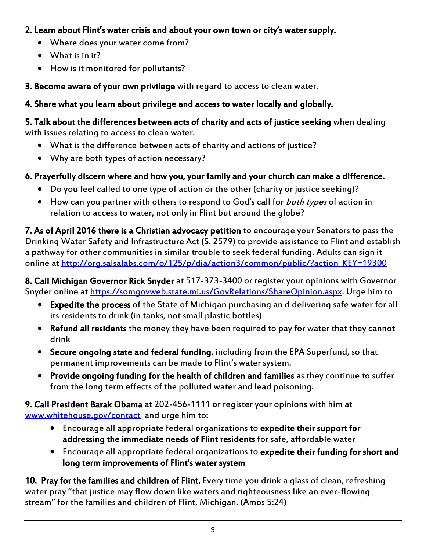#### 2. Learn about Flint's water crisis and about your own town or city's water supply.

- Where does your water come from?
- What is in it?
- How is it monitored for pollutants?
- 3. Become aware of your own privilege with regard to access to clean water.

#### 4. Share what you learn about privilege and access to water locally and globally.

5. Talk about the differences between acts of charity and acts of justice seeking when dealing with issues relating to access to clean water.

- What is the difference between acts of charity and actions of justice?
- Why are both types of action necessary?
- 6. Prayerfully discern where and how you, your family and your church can make a difference.
	- Do you feel called to one type of action or the other (charity or justice seeking)?
	- How can you partner with others to respond to God's call for *both types* of action in relation to access to water, not only in Flint but around the globe?

7. As of April 2016 there is a Christian advocacy petition to encourage your Senators to pass the Drinking Water Safety and Infrastructure Act (S. 2579) to provide assistance to Flint and establish a pathway for other communities in similar trouble to seek federal funding. Adults can sign it online at [http://org.salsalabs.com/o/125/p/dia/action3/common/public/?action\\_KEY=19300](http://org.salsalabs.com/o/125/p/dia/action3/common/public/?action_KEY=19300)

8. Call Michigan Governor Rick Snyder at 517-373-3400 or register your opinions with Governor Snyder online at [https://somgovweb.state.mi.us/GovRelations/ShareOpinion.aspx.](https://somgovweb.state.mi.us/GovRelations/ShareOpinion.aspx) Urge him to

- Expedite the process of the State of Michigan purchasing an d delivering safe water for all its residents to drink (in tanks, not small plastic bottles)
- Refund all residents the money they have been required to pay for water that they cannot drink
- **•** Secure ongoing state and federal funding, including from the EPA Superfund, so that permanent improvements can be made to Flint's water system.
- Provide ongoing funding for the health of children and families as they continue to suffer from the long term effects of the polluted water and lead poisoning.

9. Call President Barak Obama at 202-456-1111 or register your opinions with him at [www.whitehouse.gov/contact](http://www.whitehouse.gov/contact) and urge him to:

- Encourage all appropriate federal organizations to expedite their support for addressing the immediate needs of Flint residents for safe, affordable water
- Encourage all appropriate federal organizations to expedite their funding for short and long term improvements of Flint's water system

10. Pray for the families and children of Flint. Every time you drink a glass of clean, refreshing water pray "that justice may flow down like waters and righteousness like an ever-flowing stream" for the families and children of Flint, Michigan. (Amos 5:24)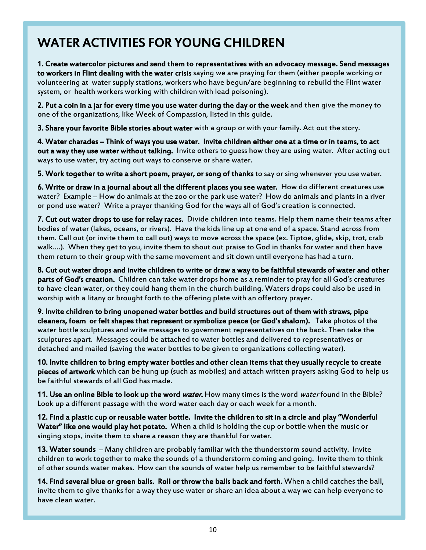### WATER ACTIVITIES FOR YOUNG CHILDREN

1. Create watercolor pictures and send them to representatives with an advocacy message. Send messages to workers in Flint dealing with the water crisis saying we are praying for them (either people working or volunteering at water supply stations, workers who have begun/are beginning to rebuild the Flint water system, or health workers working with children with lead poisoning).

2. Put a coin in a jar for every time you use water during the day or the week and then give the money to one of the organizations, like Week of Compassion, listed in this guide.

3. Share your favorite Bible stories about water with a group or with your family. Act out the story.

4. Water charades – Think of ways you use water. Invite children either one at a time or in teams, to act out a way they use water without talking. Invite others to guess how they are using water. After acting out ways to use water, try acting out ways to conserve or share water.

5. Work together to write a short poem, prayer, or song of thanks to say or sing whenever you use water.

6. Write or draw in a journal about all the different places you see water. How do different creatures use water? Example – How do animals at the zoo or the park use water? How do animals and plants in a river or pond use water? Write a prayer thanking God for the ways all of God's creation is connected.

7. Cut out water drops to use for relay races. Divide children into teams. Help them name their teams after bodies of water (lakes, oceans, or rivers). Have the kids line up at one end of a space. Stand across from them. Call out (or invite them to call out) ways to move across the space (ex. Tiptoe, glide, skip, trot, crab walk….). When they get to you, invite them to shout out praise to God in thanks for water and then have them return to their group with the same movement and sit down until everyone has had a turn.

8. Cut out water drops and invite children to write or draw a way to be faithful stewards of water and other parts of God's creation. Children can take water drops home as a reminder to pray for all God's creatures to have clean water, or they could hang them in the church building. Waters drops could also be used in worship with a litany or brought forth to the offering plate with an offertory prayer.

9. Invite children to bring unopened water bottles and build structures out of them with straws, pipe cleaners, foam or felt shapes that represent or symbolize peace (or God's shalom). Take photos of the water bottle sculptures and write messages to government representatives on the back. Then take the sculptures apart. Messages could be attached to water bottles and delivered to representatives or detached and mailed (saving the water bottles to be given to organizations collecting water).

10. Invite children to bring empty water bottles and other clean items that they usually recycle to create pieces of artwork which can be hung up (such as mobiles) and attach written prayers asking God to help us be faithful stewards of all God has made.

11. Use an online Bible to look up the word water. How many times is the word water found in the Bible? Look up a different passage with the word water each day or each week for a month.

12. Find a plastic cup or reusable water bottle. Invite the children to sit in a circle and play "Wonderful Water" like one would play hot potato. When a child is holding the cup or bottle when the music or singing stops, invite them to share a reason they are thankful for water.

13. Water sounds – Many children are probably familiar with the thunderstorm sound activity. Invite children to work together to make the sounds of a thunderstorm coming and going. Invite them to think of other sounds water makes. How can the sounds of water help us remember to be faithful stewards?

14. Find several blue or green balls. Roll or throw the balls back and forth. When a child catches the ball, invite them to give thanks for a way they use water or share an idea about a way we can help everyone to have clean water.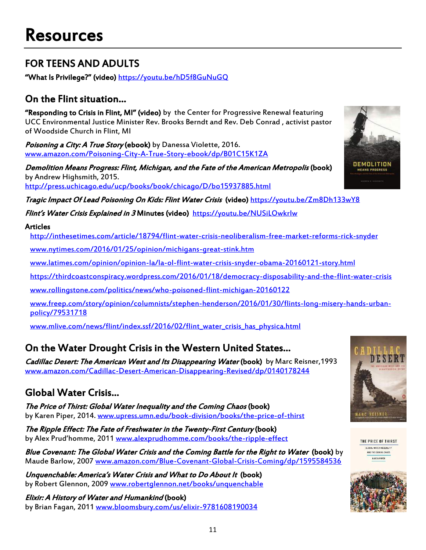#### FOR TEENS AND ADULTS

"What Is Privilege?" (video) <https://youtu.be/hD5f8GuNuGQ>

#### On the Flint situation…

"Responding to Crisis in Flint, MI" (video) by the Center for Progressive Renewal featuring UCC Environmental Justice Minister Rev. Brooks Berndt and Rev. Deb Conrad , activist pastor of Woodside Church in Flint, MI

Poisoning a City: A True Story (ebook) by Danessa Violette, 2016. [www.amazon.com/Poisoning-City-A-True-Story-ebook/dp/B01C15K1ZA](http://www.amazon.com/Poisoning-City-A-True-Story-ebook/dp/B01C15K1ZA)

Demolition Means Progress: Flint, Michigan, and the Fate of the American Metropolis (book) by Andrew Highsmith, 2015.

<http://press.uchicago.edu/ucp/books/book/chicago/D/bo15937885.html>

Tragic Impact Of Lead Poisoning On Kids: Flint Water Crisis (video[\) https://youtu.be/Zm8Dh133wY8](https://youtu.be/Zm8Dh133wY8)

Flint's Water Crisis Explained in 3 Minutes (video) https://youtu.be/NUSiLOwkrlw

#### Articles

<http://inthesetimes.com/article/18794/flint-water-crisis-neoliberalism-free-market-reforms-rick-snyder>

[www.nytimes.com/2016/01/25/opinion/michigans-great-stink.htm](http://www.nytimes.com/2016/01/25/opinion/michigans-great-stink.html?_r=0)

[www.latimes.com/opinion/opinion-la/la-ol-flint-water-crisis-snyder-obama-20160121-story.html](http://www.latimes.com/opinion/opinion-la/la-ol-flint-water-crisis-snyder-obama-20160121-story.html)

<https://thirdcoastconspiracy.wordpress.com/2016/01/18/democracy-disposability-and-the-flint-water-crisis>

[www.rollingstone.com/politics/news/who-poisoned-flint-michigan-20160122](http://www.rollingstone.com/politics/news/who-poisoned-flint-michigan-20160122)

[www.freep.com/story/opinion/columnists/stephen-henderson/2016/01/30/flints-long-misery-hands-urban](http://on.freep.com/1WUdhpY)[policy/79531718](http://on.freep.com/1WUdhpY)

[www.mlive.com/news/flint/index.ssf/2016/02/flint\\_water\\_crisis\\_has\\_physica.html](http://www.mlive.com/news/flint/index.ssf/2016/02/flint_water_crisis_has_physica.html)

#### On the Water Drought Crisis in the Western United States…

Cadillac Desert: The American West and Its Disappearing Water (book) by Marc Reisner, 1993 [www.amazon.com/Cadillac-Desert-American-Disappearing-Revised/dp/0140178244](http://www.amazon.com/Cadillac-Desert-American-Disappearing-Revised/dp/0140178244)

#### Global Water Crisis…

The Price of Thirst: Global Water Inequality and the Coming Chaos (book) by Karen Piper, 2014. [www.upress.umn.edu/book-division/books/the-price-of-thirst](https://www.upress.umn.edu/book-division/books/the-price-of-thirst)

The Ripple Effect: The Fate of Freshwater in the Twenty-First Century (book) by Alex Prud'homme, 2011 [www.alexprudhomme.com/books/the-ripple-effect](http://www.alexprudhomme.com/books/the-ripple-effect/)

Blue Covenant: The Global Water Crisis and the Coming Battle for the Right to Water (book) by Maude Barlow, 2007 [www.amazon.com/Blue-Covenant-Global-Crisis-Coming/dp/1595584536](http://www.amazon.com/Blue-Covenant-Global-Crisis-Coming/dp/1595584536)

Unquenchable: America's Water Crisis and What to Do About It (book) by Robert Glennon, 2009 [www.robertglennon.net/books/unquenchable](http://www.robertglennon.net/books/unquenchable/)

Elixir: A History of Water and Humankind (book) by Brian Fagan, 2011 [www.bloomsbury.com/us/elixir-9781608190034](http://www.bloomsbury.com/us/elixir-9781608190034/)





THE PRICE OF THIRST GLOBAL WATER INEQUALITY AND THE COMING CHAOS KAREN PIPER